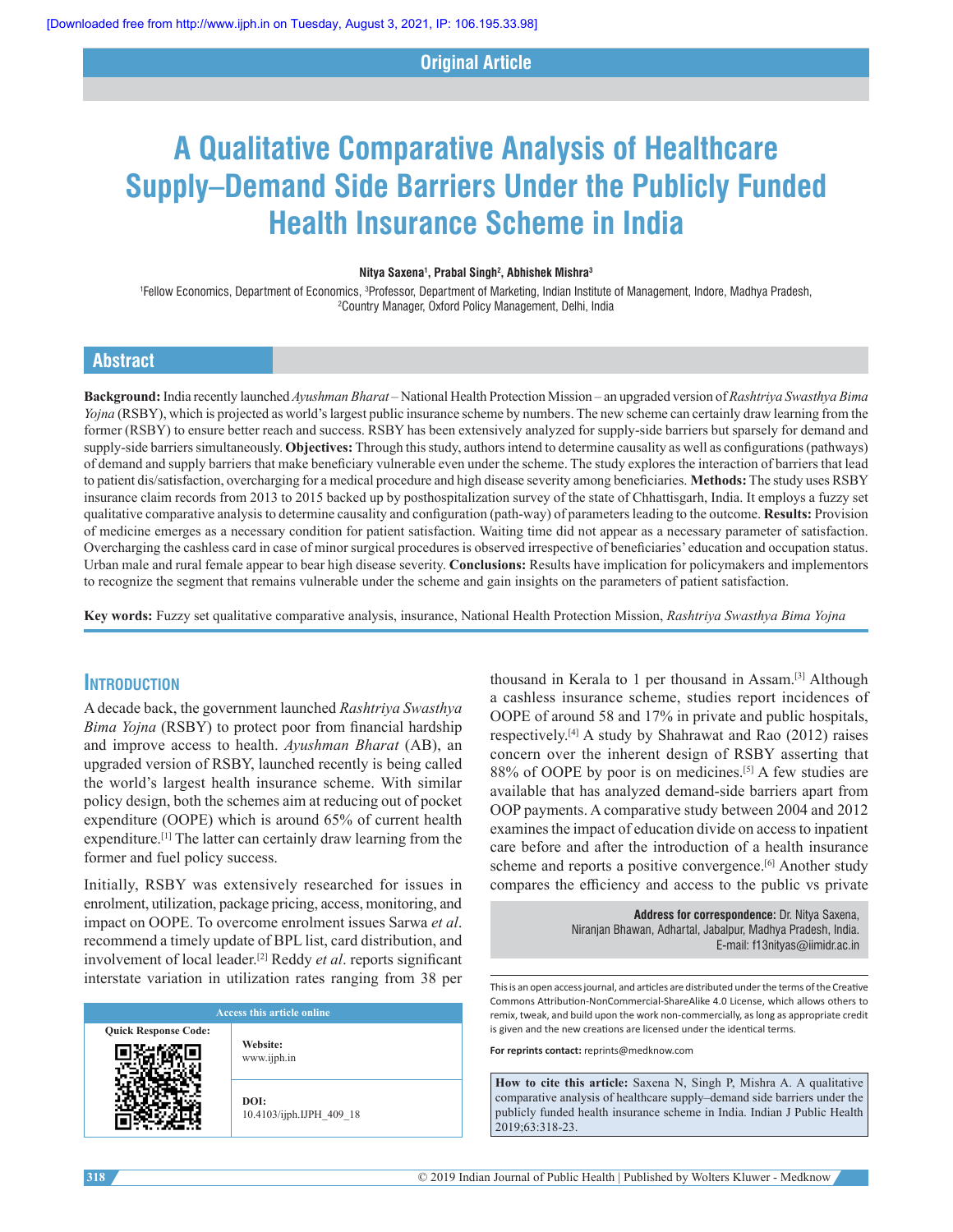## **Original Article**

# **A Qualitative Comparative Analysis of Healthcare Supply–Demand Side Barriers Under the Publicly Funded Health Insurance Scheme in India**

#### **Nitya Saxena<sup>1</sup> , Prabal Singh<sup>2</sup> , Abhishek Mishra<sup>3</sup>**

1 Fellow Economics, Department of Economics, 3Professor, Department of Marketing, Indian Institute of Management, Indore, Madhya Pradesh, <sup>2</sup>Country Manager, Oxford Policy Management, Delhi, India

## **Abstract**

**Background:** India recently launched *Ayushman Bharat* – National Health Protection Mission – an upgraded version of *Rashtriya Swasthya Bima Yojna* (RSBY), which is projected as world's largest public insurance scheme by numbers. The new scheme can certainly draw learning from the former (RSBY) to ensure better reach and success. RSBY has been extensively analyzed for supply-side barriers but sparsely for demand and supply-side barriers simultaneously. **Objectives:** Through this study, authors intend to determine causality as well as configurations (pathways) of demand and supply barriers that make beneficiary vulnerable even under the scheme. The study explores the interaction of barriers that lead to patient dis/satisfaction, overcharging for a medical procedure and high disease severity among beneficiaries. **Methods:** The study uses RSBY insurance claim records from 2013 to 2015 backed up by posthospitalization survey of the state of Chhattisgarh, India. It employs a fuzzy set qualitative comparative analysis to determine causality and configuration (path-way) of parameters leading to the outcome. **Results:** Provision of medicine emerges as a necessary condition for patient satisfaction. Waiting time did not appear as a necessary parameter of satisfaction. Overcharging the cashless card in case of minor surgical procedures is observed irrespective of beneficiaries' education and occupation status. Urban male and rural female appear to bear high disease severity. **Conclusions:** Results have implication for policymakers and implementors to recognize the segment that remains vulnerable under the scheme and gain insights on the parameters of patient satisfaction.

**Key words:** Fuzzy set qualitative comparative analysis, insurance, National Health Protection Mission, *Rashtriya Swasthya Bima Yojna*

#### **IntroductIon**

A decade back, the government launched *Rashtriya Swasthya Bima Yojna* (RSBY) to protect poor from financial hardship and improve access to health. *Ayushman Bharat* (AB), an upgraded version of RSBY, launched recently is being called the world's largest health insurance scheme. With similar policy design, both the schemes aim at reducing out of pocket expenditure (OOPE) which is around 65% of current health expenditure.<sup>[1]</sup> The latter can certainly draw learning from the former and fuel policy success.

Initially, RSBY was extensively researched for issues in enrolment, utilization, package pricing, access, monitoring, and impact on OOPE. To overcome enrolment issues Sarwa *et al*. recommend a timely update of BPL list, card distribution, and involvement of local leader.[2] Reddy *et al*. reports significant interstate variation in utilization rates ranging from 38 per

| <b>Access this article online</b> |                                  |  |  |
|-----------------------------------|----------------------------------|--|--|
| <b>Quick Response Code:</b>       | Website:<br>www.ijph.in          |  |  |
|                                   | DOI:<br>10.4103/ijph.IJPH 409 18 |  |  |

thousand in Kerala to 1 per thousand in Assam.[3] Although a cashless insurance scheme, studies report incidences of OOPE of around 58 and 17% in private and public hospitals, respectively.[4] A study by Shahrawat and Rao (2012) raises concern over the inherent design of RSBY asserting that 88% of OOPE by poor is on medicines.<sup>[5]</sup> A few studies are available that has analyzed demand-side barriers apart from OOP payments. A comparative study between 2004 and 2012 examines the impact of education divide on access to inpatient care before and after the introduction of a health insurance scheme and reports a positive convergence.<sup>[6]</sup> Another study compares the efficiency and access to the public vs private

> **Address for correspondence:** Dr. Nitya Saxena, Niranjan Bhawan, Adhartal, Jabalpur, Madhya Pradesh, India. E‑mail: f13nityas@iimidr.ac.in

This is an open access journal, and articles are distributed under the terms of the Creative Commons Attribution‑NonCommercial‑ShareAlike 4.0 License, which allows others to remix, tweak, and build upon the work non‑commercially, as long as appropriate credit is given and the new creations are licensed under the identical terms.

**For reprints contact:** reprints@medknow.com

**How to cite this article:** Saxena N, Singh P, Mishra A. A qualitative comparative analysis of healthcare supply–demand side barriers under the publicly funded health insurance scheme in India. Indian J Public Health 2019;63:318-23.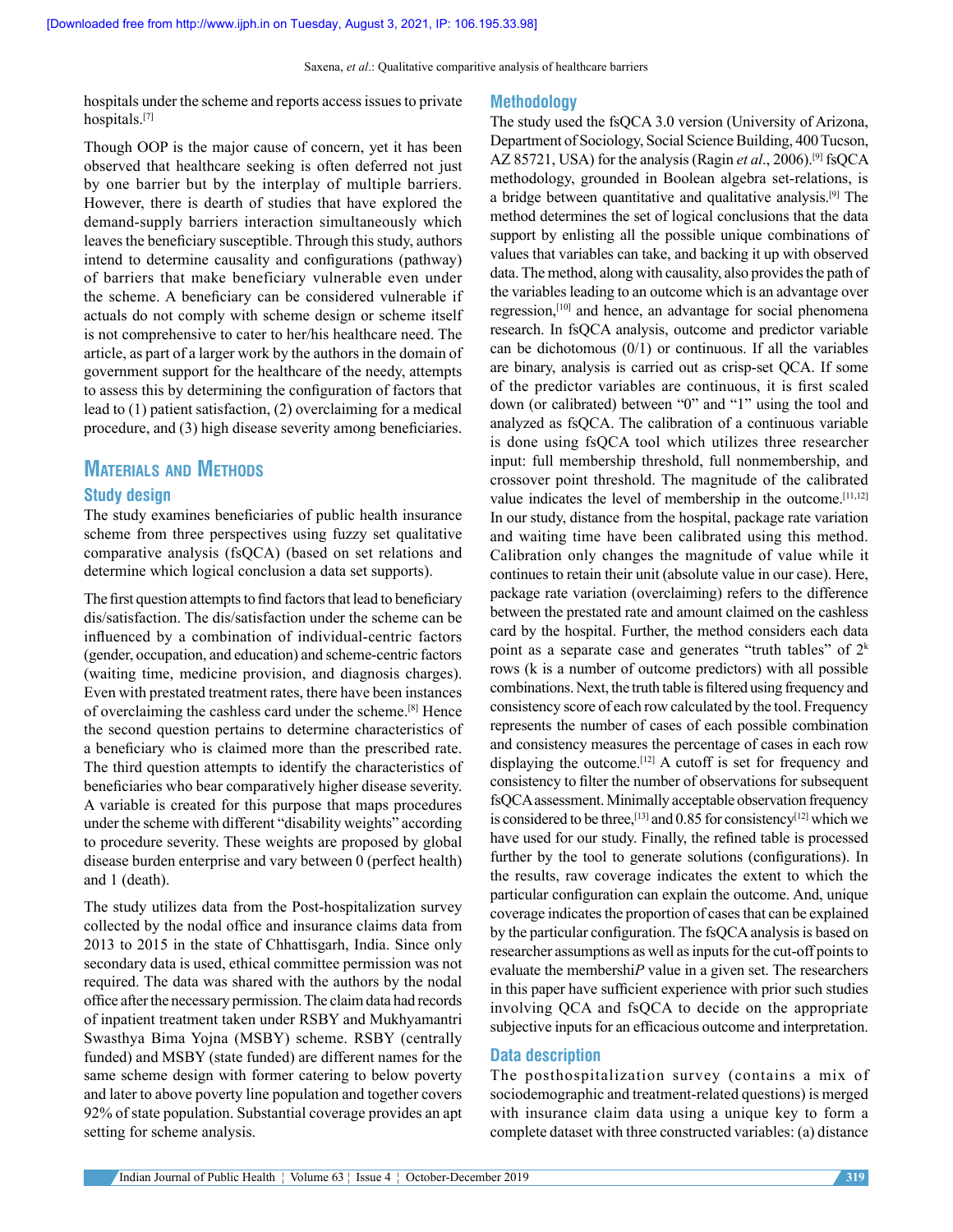hospitals under the scheme and reports access issues to private hospitals.[7]

Though OOP is the major cause of concern, yet it has been observed that healthcare seeking is often deferred not just by one barrier but by the interplay of multiple barriers. However, there is dearth of studies that have explored the demand-supply barriers interaction simultaneously which leaves the beneficiary susceptible. Through this study, authors intend to determine causality and configurations (pathway) of barriers that make beneficiary vulnerable even under the scheme. A beneficiary can be considered vulnerable if actuals do not comply with scheme design or scheme itself is not comprehensive to cater to her/his healthcare need. The article, as part of a larger work by the authors in the domain of government support for the healthcare of the needy, attempts to assess this by determining the configuration of factors that lead to (1) patient satisfaction, (2) overclaiming for a medical procedure, and (3) high disease severity among beneficiaries.

## **MaterIals and Methods**

#### **Study design**

The study examines beneficiaries of public health insurance scheme from three perspectives using fuzzy set qualitative comparative analysis (fsQCA) (based on set relations and determine which logical conclusion a data set supports).

The first question attempts to find factors that lead to beneficiary dis/satisfaction. The dis/satisfaction under the scheme can be influenced by a combination of individual-centric factors (gender, occupation, and education) and scheme‑centric factors (waiting time, medicine provision, and diagnosis charges). Even with prestated treatment rates, there have been instances of overclaiming the cashless card under the scheme.[8] Hence the second question pertains to determine characteristics of a beneficiary who is claimed more than the prescribed rate. The third question attempts to identify the characteristics of beneficiaries who bear comparatively higher disease severity. A variable is created for this purpose that maps procedures under the scheme with different "disability weights" according to procedure severity. These weights are proposed by global disease burden enterprise and vary between 0 (perfect health) and 1 (death).

The study utilizes data from the Post-hospitalization survey collected by the nodal office and insurance claims data from 2013 to 2015 in the state of Chhattisgarh, India. Since only secondary data is used, ethical committee permission was not required. The data was shared with the authors by the nodal office after the necessary permission. The claim data had records of inpatient treatment taken under RSBY and Mukhyamantri Swasthya Bima Yojna (MSBY) scheme. RSBY (centrally funded) and MSBY (state funded) are different names for the same scheme design with former catering to below poverty and later to above poverty line population and together covers 92% of state population. Substantial coverage provides an apt setting for scheme analysis.

#### **Methodology**

The study used the fsQCA 3.0 version (University of Arizona, Department of Sociology, Social Science Building, 400 Tucson, AZ 85721, USA) for the analysis (Ragin *et al*., 2006).[9] fsQCA methodology, grounded in Boolean algebra set‑relations, is a bridge between quantitative and qualitative analysis.[9] The method determines the set of logical conclusions that the data support by enlisting all the possible unique combinations of values that variables can take, and backing it up with observed data. The method, along with causality, also provides the path of the variables leading to an outcome which is an advantage over regression,[10] and hence, an advantage for social phenomena research. In fsQCA analysis, outcome and predictor variable can be dichotomous  $(0/1)$  or continuous. If all the variables are binary, analysis is carried out as crisp‑set QCA. If some of the predictor variables are continuous, it is first scaled down (or calibrated) between "0" and "1" using the tool and analyzed as fsQCA. The calibration of a continuous variable is done using fsQCA tool which utilizes three researcher input: full membership threshold, full nonmembership, and crossover point threshold. The magnitude of the calibrated value indicates the level of membership in the outcome.[11,12] In our study, distance from the hospital, package rate variation and waiting time have been calibrated using this method. Calibration only changes the magnitude of value while it continues to retain their unit (absolute value in our case). Here, package rate variation (overclaiming) refers to the difference between the prestated rate and amount claimed on the cashless card by the hospital. Further, the method considers each data point as a separate case and generates "truth tables" of  $2<sup>k</sup>$ rows (k is a number of outcome predictors) with all possible combinations. Next, the truth table is filtered using frequency and consistency score of each row calculated by the tool. Frequency represents the number of cases of each possible combination and consistency measures the percentage of cases in each row displaying the outcome.[12] A cutoff is set for frequency and consistency to filter the number of observations for subsequent fsQCA assessment. Minimally acceptable observation frequency is considered to be three,<sup>[13]</sup> and 0.85 for consistency<sup>[12]</sup> which we have used for our study. Finally, the refined table is processed further by the tool to generate solutions (configurations). In the results, raw coverage indicates the extent to which the particular configuration can explain the outcome. And, unique coverage indicates the proportion of cases that can be explained by the particular configuration. The fsQCA analysis is based on researcher assumptions as well as inputs for the cut‑off points to evaluate the membershi*P* value in a given set. The researchers in this paper have sufficient experience with prior such studies involving QCA and fsQCA to decide on the appropriate subjective inputs for an efficacious outcome and interpretation.

#### **Data description**

The posthospitalization survey (contains a mix of sociodemographic and treatment-related questions) is merged with insurance claim data using a unique key to form a complete dataset with three constructed variables: (a) distance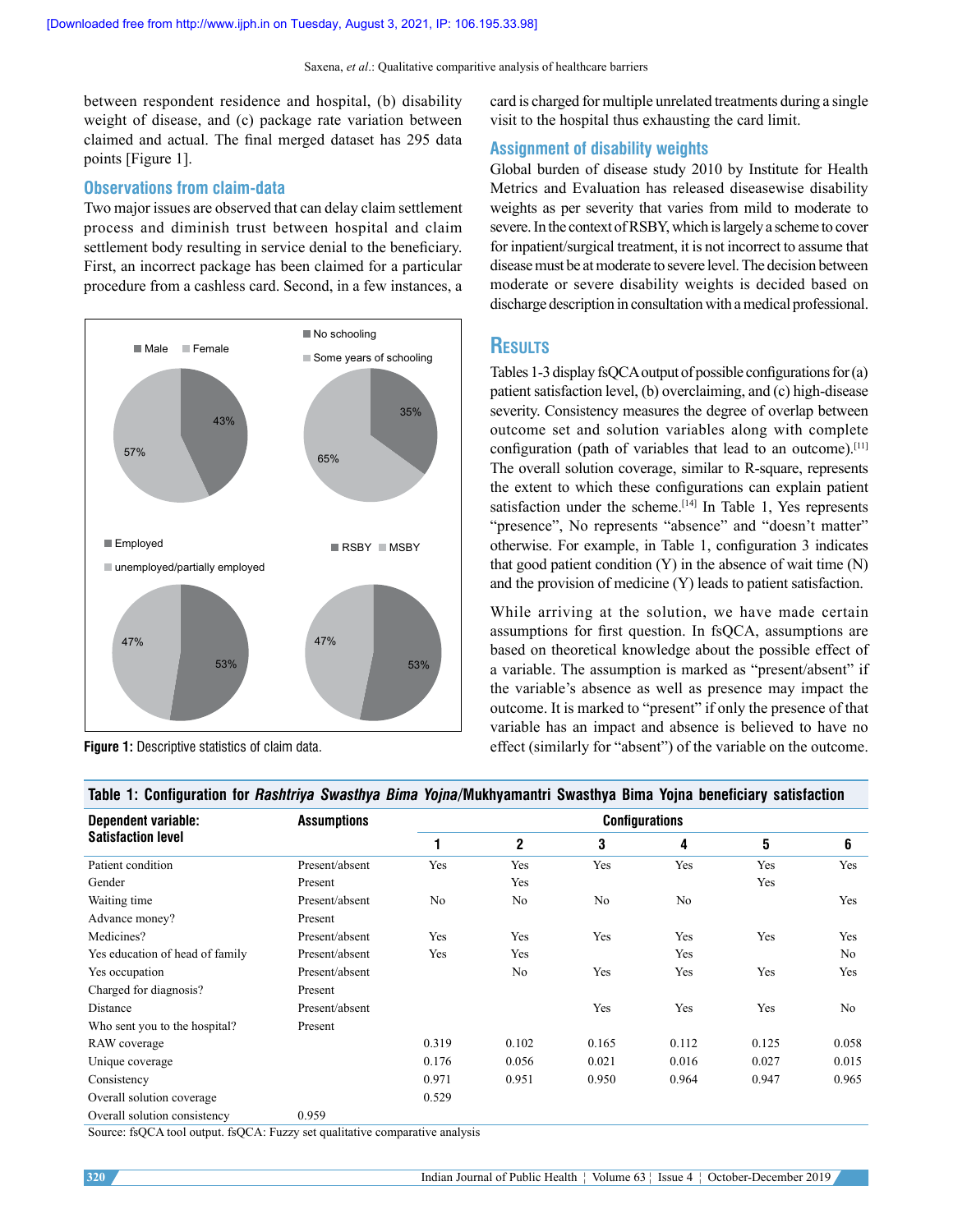Saxena, et al.: Qualitative comparitive analysis of healthcare barriers

between respondent residence and hospital, (b) disability weight of disease, and (c) package rate variation between claimed and actual. The final merged dataset has 295 data points [Figure 1].

### **Observations from claim‑data**

Two major issues are observed that can delay claim settlement process and diminish trust between hospital and claim settlement body resulting in service denial to the beneficiary. First, an incorrect package has been claimed for a particular procedure from a cashless card. Second, in a few instances, a





card is charged for multiple unrelated treatments during a single visit to the hospital thus exhausting the card limit.

### **Assignment of disability weights**

Global burden of disease study 2010 by Institute for Health Metrics and Evaluation has released diseasewise disability weights as per severity that varies from mild to moderate to severe. In the context of RSBY, which is largely a scheme to cover for inpatient/surgical treatment, it is not incorrect to assume that disease must be at moderate to severe level. The decision between moderate or severe disability weights is decided based on discharge description in consultation with a medical professional.

## **results**

Tables 1‑3 display fsQCA output of possible configurations for (a) patient satisfaction level, (b) overclaiming, and (c) high-disease severity. Consistency measures the degree of overlap between outcome set and solution variables along with complete configuration (path of variables that lead to an outcome).[11] The overall solution coverage, similar to R-square, represents the extent to which these configurations can explain patient satisfaction under the scheme.<sup>[14]</sup> In Table 1, Yes represents "presence", No represents "absence" and "doesn't matter" otherwise. For example, in Table 1, configuration 3 indicates that good patient condition  $(Y)$  in the absence of wait time  $(N)$ and the provision of medicine (Y) leads to patient satisfaction.

While arriving at the solution, we have made certain assumptions for first question. In fsQCA, assumptions are based on theoretical knowledge about the possible effect of a variable. The assumption is marked as "present/absent" if the variable's absence as well as presence may impact the outcome. It is marked to "present" if only the presence of that variable has an impact and absence is believed to have no effect (similarly for "absent") of the variable on the outcome.

| <b>Dependent variable:</b><br><b>Satisfaction level</b> | <b>Assumptions</b> | <b>Configurations</b> |              |                |       |       |                |
|---------------------------------------------------------|--------------------|-----------------------|--------------|----------------|-------|-------|----------------|
|                                                         |                    |                       | $\mathbf{2}$ | 3              | 4     | 5     | 6              |
| Patient condition                                       | Present/absent     | Yes                   | Yes          | Yes            | Yes   | Yes   | Yes            |
| Gender                                                  | Present            |                       | Yes          |                |       | Yes   |                |
| Waiting time                                            | Present/absent     | No                    | No           | N <sub>o</sub> | No    |       | Yes            |
| Advance money?                                          | Present            |                       |              |                |       |       |                |
| Medicines?                                              | Present/absent     | Yes                   | Yes          | Yes            | Yes   | Yes   | Yes            |
| Yes education of head of family                         | Present/absent     | Yes                   | Yes          |                | Yes   |       | No             |
| Yes occupation                                          | Present/absent     |                       | No           | Yes            | Yes   | Yes   | Yes            |
| Charged for diagnosis?                                  | Present            |                       |              |                |       |       |                |
| Distance                                                | Present/absent     |                       |              | Yes            | Yes   | Yes   | N <sub>o</sub> |
| Who sent you to the hospital?                           | Present            |                       |              |                |       |       |                |
| RAW coverage                                            |                    | 0.319                 | 0.102        | 0.165          | 0.112 | 0.125 | 0.058          |
| Unique coverage                                         |                    | 0.176                 | 0.056        | 0.021          | 0.016 | 0.027 | 0.015          |
| Consistency                                             |                    | 0.971                 | 0.951        | 0.950          | 0.964 | 0.947 | 0.965          |
| Overall solution coverage                               |                    | 0.529                 |              |                |       |       |                |
| Overall solution consistency                            | 0.959              |                       |              |                |       |       |                |

**Table 1: Configuration for** *Rashtriya Swasthya Bima Yojna***/Mukhyamantri Swasthya Bima Yojna beneficiary satisfaction**

Source: fsQCA tool output. fsQCA: Fuzzy set qualitative comparative analysis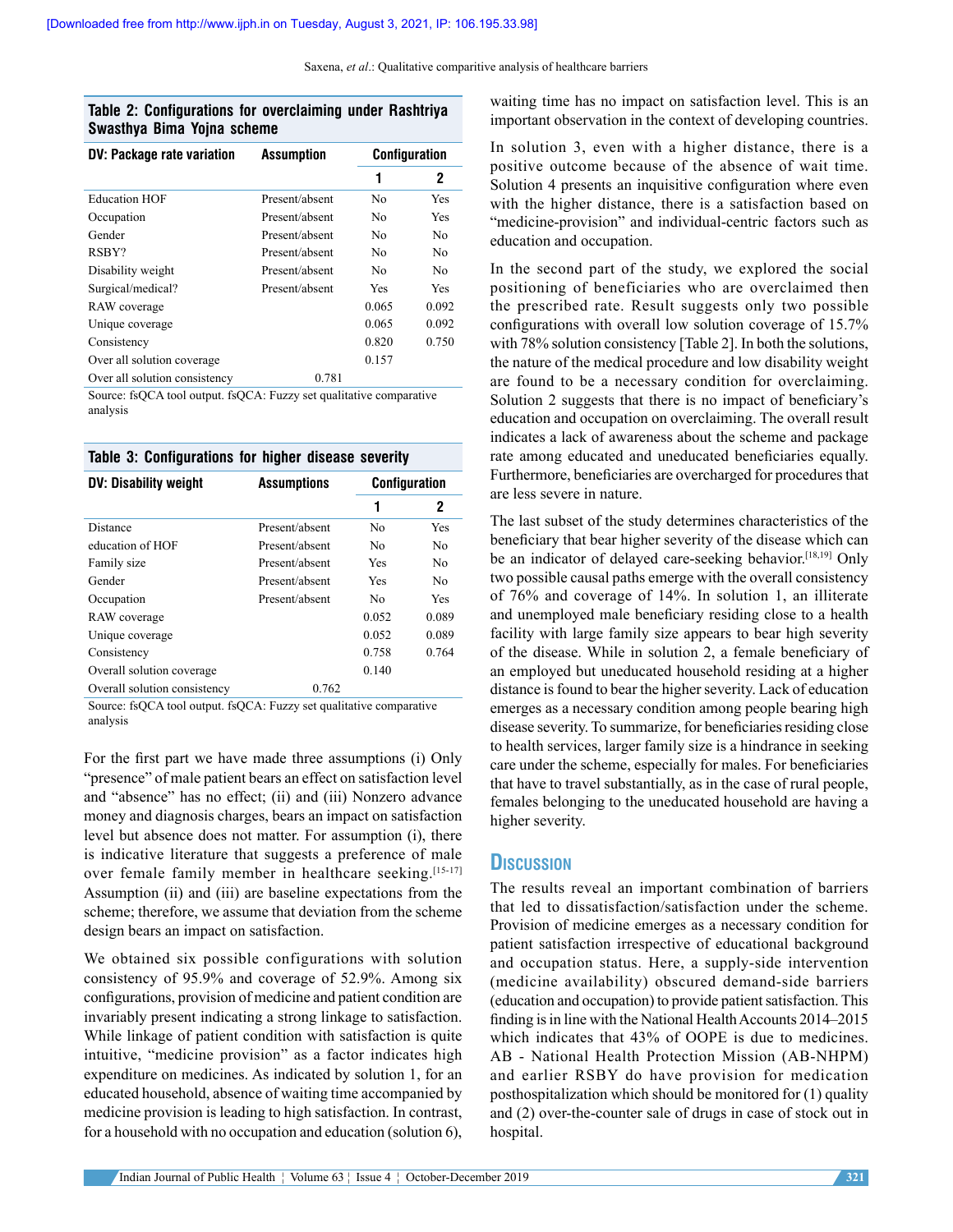#### **Table 2: Configurations for overclaiming under Rashtriya Swasthya Bima Yojna scheme**

| <b>DV: Package rate variation</b> | Assumption     | <b>Configuration</b> |       |
|-----------------------------------|----------------|----------------------|-------|
|                                   |                | 1                    | 2     |
| <b>Education HOF</b>              | Present/absent | No                   | Yes   |
| Occupation                        | Present/absent | No                   | Yes   |
| Gender                            | Present/absent | No                   | No    |
| RSBY?                             | Present/absent | No                   | No.   |
| Disability weight                 | Present/absent | No                   | No.   |
| Surgical/medical?                 | Present/absent | Yes                  | Yes   |
| RAW coverage                      |                | 0.065                | 0.092 |
| Unique coverage                   |                | 0.065                | 0.092 |
| Consistency                       |                | 0.820                | 0.750 |
| Over all solution coverage        |                | 0.157                |       |
| Over all solution consistency     | 0.781          |                      |       |

Source: fsQCA tool output. fsQCA: Fuzzy set qualitative comparative analysis

**Table 3: Configurations for higher disease severity**

| Table 5: Comigurations for inglier disease severity |                    |                      |                |  |
|-----------------------------------------------------|--------------------|----------------------|----------------|--|
| <b>DV: Disability weight</b>                        | <b>Assumptions</b> | <b>Configuration</b> |                |  |
|                                                     |                    | 1                    | 2              |  |
| Distance                                            | Present/absent     | No                   | Yes            |  |
| education of HOF                                    | Present/absent     | No                   | No             |  |
| Family size                                         | Present/absent     | Yes                  | N <sub>0</sub> |  |
| Gender                                              | Present/absent     | Yes                  | N <sub>0</sub> |  |
| Occupation                                          | Present/absent     | No                   | Yes            |  |
| RAW coverage                                        |                    | 0.052                | 0.089          |  |
| Unique coverage                                     |                    | 0.052                | 0.089          |  |
| Consistency                                         |                    | 0.758                | 0.764          |  |
| Overall solution coverage                           |                    | 0.140                |                |  |
| Overall solution consistency                        | 0.762              |                      |                |  |

Source: fsQCA tool output. fsQCA: Fuzzy set qualitative comparative analysis

For the first part we have made three assumptions (i) Only "presence" of male patient bears an effect on satisfaction level and "absence" has no effect; (ii) and (iii) Nonzero advance money and diagnosis charges, bears an impact on satisfaction level but absence does not matter. For assumption (i), there is indicative literature that suggests a preference of male over female family member in healthcare seeking.[15-17] Assumption (ii) and (iii) are baseline expectations from the scheme; therefore, we assume that deviation from the scheme design bears an impact on satisfaction.

We obtained six possible configurations with solution consistency of 95.9% and coverage of 52.9%. Among six configurations, provision of medicine and patient condition are invariably present indicating a strong linkage to satisfaction. While linkage of patient condition with satisfaction is quite intuitive, "medicine provision" as a factor indicates high expenditure on medicines. As indicated by solution 1, for an educated household, absence of waiting time accompanied by medicine provision is leading to high satisfaction. In contrast, for a household with no occupation and education (solution 6), waiting time has no impact on satisfaction level. This is an important observation in the context of developing countries.

In solution 3, even with a higher distance, there is a positive outcome because of the absence of wait time. Solution 4 presents an inquisitive configuration where even with the higher distance, there is a satisfaction based on "medicine-provision" and individual-centric factors such as education and occupation.

In the second part of the study, we explored the social positioning of beneficiaries who are overclaimed then the prescribed rate. Result suggests only two possible configurations with overall low solution coverage of 15.7% with 78% solution consistency [Table 2]. In both the solutions, the nature of the medical procedure and low disability weight are found to be a necessary condition for overclaiming. Solution 2 suggests that there is no impact of beneficiary's education and occupation on overclaiming. The overall result indicates a lack of awareness about the scheme and package rate among educated and uneducated beneficiaries equally. Furthermore, beneficiaries are overcharged for procedures that are less severe in nature.

The last subset of the study determines characteristics of the beneficiary that bear higher severity of the disease which can be an indicator of delayed care-seeking behavior.<sup>[18,19]</sup> Only two possible causal paths emerge with the overall consistency of 76% and coverage of 14%. In solution 1, an illiterate and unemployed male beneficiary residing close to a health facility with large family size appears to bear high severity of the disease. While in solution 2, a female beneficiary of an employed but uneducated household residing at a higher distance is found to bear the higher severity. Lack of education emerges as a necessary condition among people bearing high disease severity. To summarize, for beneficiaries residing close to health services, larger family size is a hindrance in seeking care under the scheme, especially for males. For beneficiaries that have to travel substantially, as in the case of rural people, females belonging to the uneducated household are having a higher severity.

## **dIscussIon**

The results reveal an important combination of barriers that led to dissatisfaction/satisfaction under the scheme. Provision of medicine emerges as a necessary condition for patient satisfaction irrespective of educational background and occupation status. Here, a supply‑side intervention (medicine availability) obscured demand‑side barriers (education and occupation) to provide patient satisfaction. This finding is in line with the National Health Accounts 2014–2015 which indicates that 43% of OOPE is due to medicines. AB ‑ National Health Protection Mission (AB‑NHPM) and earlier RSBY do have provision for medication posthospitalization which should be monitored for (1) quality and (2) over-the-counter sale of drugs in case of stock out in hospital.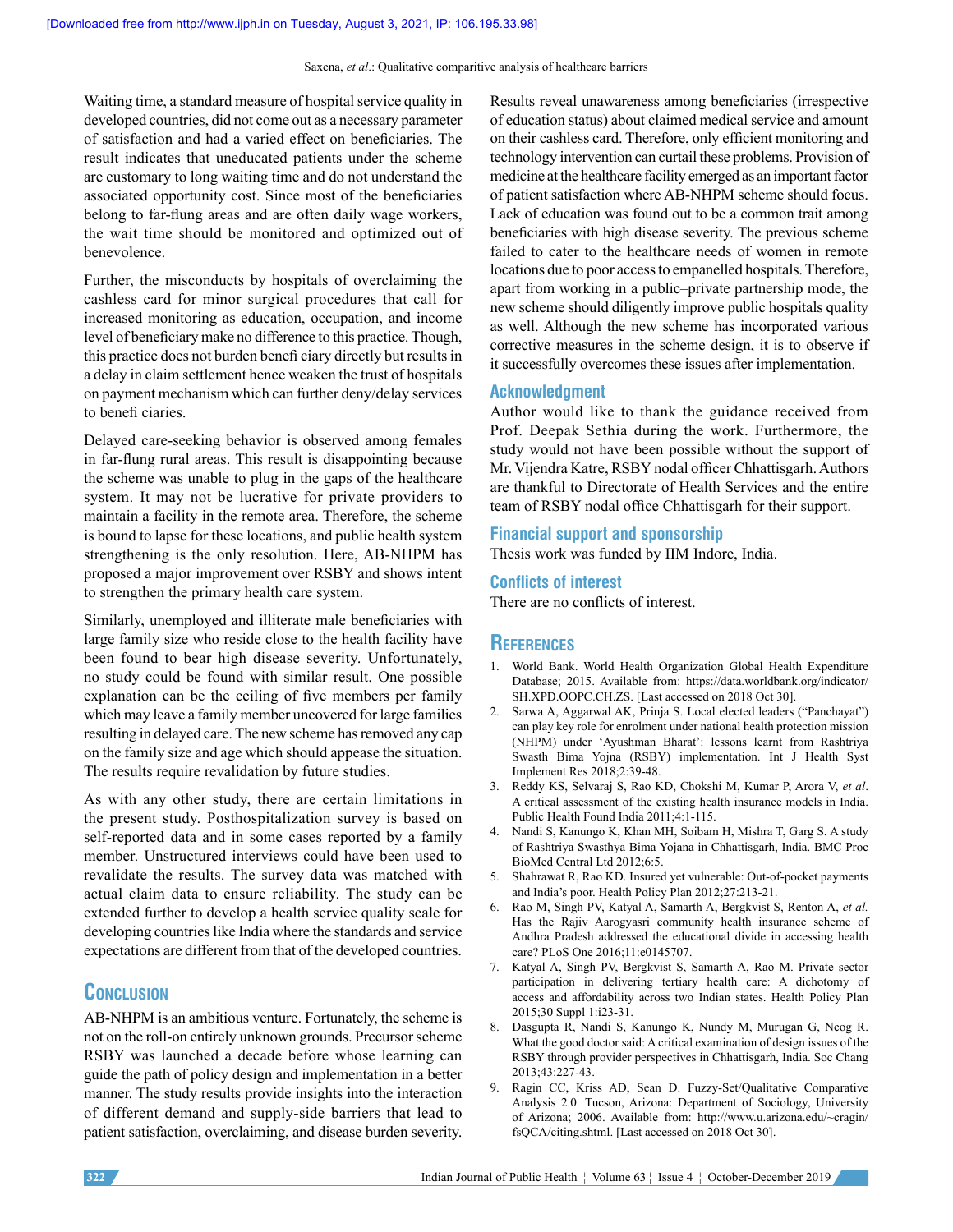Waiting time, a standard measure of hospital service quality in developed countries, did not come out as a necessary parameter of satisfaction and had a varied effect on beneficiaries. The result indicates that uneducated patients under the scheme are customary to long waiting time and do not understand the associated opportunity cost. Since most of the beneficiaries belong to far-flung areas and are often daily wage workers, the wait time should be monitored and optimized out of benevolence.

Further, the misconducts by hospitals of overclaiming the cashless card for minor surgical procedures that call for increased monitoring as education, occupation, and income level of beneficiary make no difference to this practice. Though, this practice does not burden benefi ciary directly but results in a delay in claim settlement hence weaken the trust of hospitals on payment mechanism which can further deny/delay services to benefi ciaries.

Delayed care‑seeking behavior is observed among females in far-flung rural areas. This result is disappointing because the scheme was unable to plug in the gaps of the healthcare system. It may not be lucrative for private providers to maintain a facility in the remote area. Therefore, the scheme is bound to lapse for these locations, and public health system strengthening is the only resolution. Here, AB-NHPM has proposed a major improvement over RSBY and shows intent to strengthen the primary health care system.

Similarly, unemployed and illiterate male beneficiaries with large family size who reside close to the health facility have been found to bear high disease severity. Unfortunately, no study could be found with similar result. One possible explanation can be the ceiling of five members per family which may leave a family member uncovered for large families resulting in delayed care. The new scheme has removed any cap on the family size and age which should appease the situation. The results require revalidation by future studies.

As with any other study, there are certain limitations in the present study. Posthospitalization survey is based on self-reported data and in some cases reported by a family member. Unstructured interviews could have been used to revalidate the results. The survey data was matched with actual claim data to ensure reliability. The study can be extended further to develop a health service quality scale for developing countries like India where the standards and service expectations are different from that of the developed countries.

# **conclusIon**

AB-NHPM is an ambitious venture. Fortunately, the scheme is not on the roll-on entirely unknown grounds. Precursor scheme RSBY was launched a decade before whose learning can guide the path of policy design and implementation in a better manner. The study results provide insights into the interaction of different demand and supply‑side barriers that lead to patient satisfaction, overclaiming, and disease burden severity.

Results reveal unawareness among beneficiaries (irrespective of education status) about claimed medical service and amount on their cashless card. Therefore, only efficient monitoring and technology intervention can curtail these problems. Provision of medicine at the healthcare facility emerged as an important factor of patient satisfaction where AB‑NHPM scheme should focus. Lack of education was found out to be a common trait among beneficiaries with high disease severity. The previous scheme failed to cater to the healthcare needs of women in remote locations due to poor access to empanelled hospitals. Therefore, apart from working in a public–private partnership mode, the new scheme should diligently improve public hospitals quality as well. Although the new scheme has incorporated various corrective measures in the scheme design, it is to observe if it successfully overcomes these issues after implementation.

#### **Acknowledgment**

Author would like to thank the guidance received from Prof. Deepak Sethia during the work. Furthermore, the study would not have been possible without the support of Mr. Vijendra Katre, RSBY nodal officer Chhattisgarh. Authors are thankful to Directorate of Health Services and the entire team of RSBY nodal office Chhattisgarh for their support.

#### **Financial support and sponsorship**

Thesis work was funded by IIM Indore, India.

#### **Conflicts of interest**

There are no conflicts of interest.

## **references**

- 1. World Bank. World Health Organization Global Health Expenditure Database; 2015. Available from: https://data.worldbank.org/indicator/ SH.XPD.OOPC.CH.ZS. [Last accessed on 2018 Oct 30].
- 2. Sarwa A, Aggarwal AK, Prinja S. Local elected leaders ("Panchayat") can play key role for enrolment under national health protection mission (NHPM) under 'Ayushman Bharat': lessons learnt from Rashtriya Swasth Bima Yojna (RSBY) implementation. Int J Health Syst Implement Res 2018;2:39‑48.
- 3. Reddy KS, Selvaraj S, Rao KD, Chokshi M, Kumar P, Arora V, *et al*. A critical assessment of the existing health insurance models in India. Public Health Found India 2011;4:1‑115.
- 4. Nandi S, Kanungo K, Khan MH, Soibam H, Mishra T, Garg S. A study of Rashtriya Swasthya Bima Yojana in Chhattisgarh, India. BMC Proc BioMed Central Ltd 2012;6:5.
- 5. Shahrawat R, Rao KD. Insured yet vulnerable: Out‑of‑pocket payments and India's poor. Health Policy Plan 2012;27:213‑21.
- 6. Rao M, Singh PV, Katyal A, Samarth A, Bergkvist S, Renton A, *et al.* Has the Rajiv Aarogyasri community health insurance scheme of Andhra Pradesh addressed the educational divide in accessing health care? PLoS One 2016;11:e0145707.
- 7. Katyal A, Singh PV, Bergkvist S, Samarth A, Rao M. Private sector participation in delivering tertiary health care: A dichotomy of access and affordability across two Indian states. Health Policy Plan 2015;30 Suppl 1:i23‑31.
- 8. Dasgupta R, Nandi S, Kanungo K, Nundy M, Murugan G, Neog R. What the good doctor said: A critical examination of design issues of the RSBY through provider perspectives in Chhattisgarh, India. Soc Chang 2013;43:227‑43.
- 9. Ragin CC, Kriss AD, Sean D. Fuzzy‑Set/Qualitative Comparative Analysis 2.0. Tucson, Arizona: Department of Sociology, University of Arizona; 2006. Available from: http://www.u.arizona.edu/~cragin/ fsQCA/citing.shtml. [Last accessed on 2018 Oct 30].